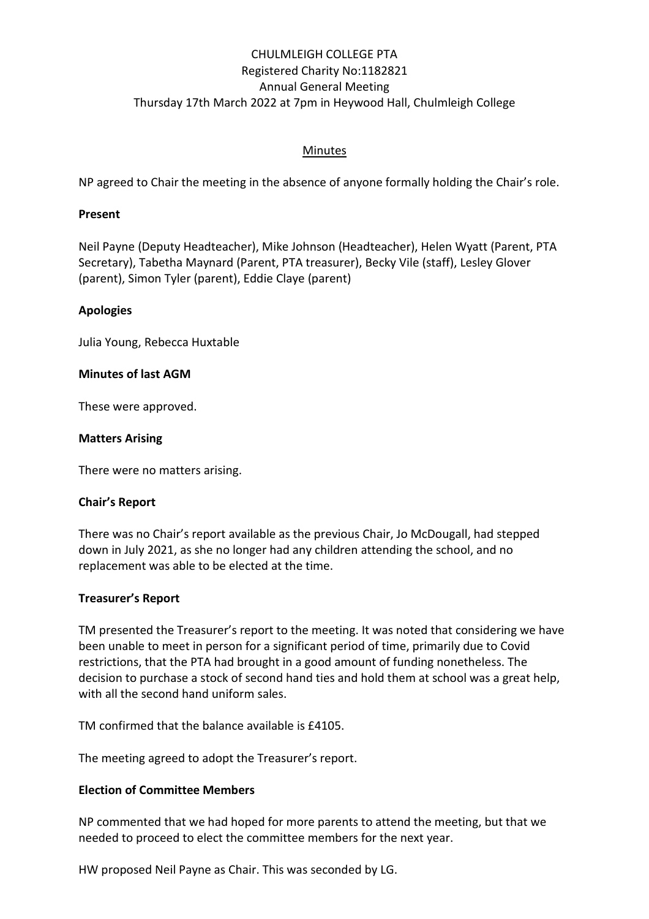# CHULMLEIGH COLLEGE PTA Registered Charity No:1182821 Annual General Meeting Thursday 17th March 2022 at 7pm in Heywood Hall, Chulmleigh College

### Minutes

NP agreed to Chair the meeting in the absence of anyone formally holding the Chair's role.

#### **Present**

Neil Payne (Deputy Headteacher), Mike Johnson (Headteacher), Helen Wyatt (Parent, PTA Secretary), Tabetha Maynard (Parent, PTA treasurer), Becky Vile (staff), Lesley Glover (parent), Simon Tyler (parent), Eddie Claye (parent)

### **Apologies**

Julia Young, Rebecca Huxtable

#### **Minutes of last AGM**

These were approved.

#### **Matters Arising**

There were no matters arising.

#### **Chair's Report**

There was no Chair's report available as the previous Chair, Jo McDougall, had stepped down in July 2021, as she no longer had any children attending the school, and no replacement was able to be elected at the time.

#### **Treasurer's Report**

TM presented the Treasurer's report to the meeting. It was noted that considering we have been unable to meet in person for a significant period of time, primarily due to Covid restrictions, that the PTA had brought in a good amount of funding nonetheless. The decision to purchase a stock of second hand ties and hold them at school was a great help, with all the second hand uniform sales.

TM confirmed that the balance available is £4105.

The meeting agreed to adopt the Treasurer's report.

#### **Election of Committee Members**

NP commented that we had hoped for more parents to attend the meeting, but that we needed to proceed to elect the committee members for the next year.

HW proposed Neil Payne as Chair. This was seconded by LG.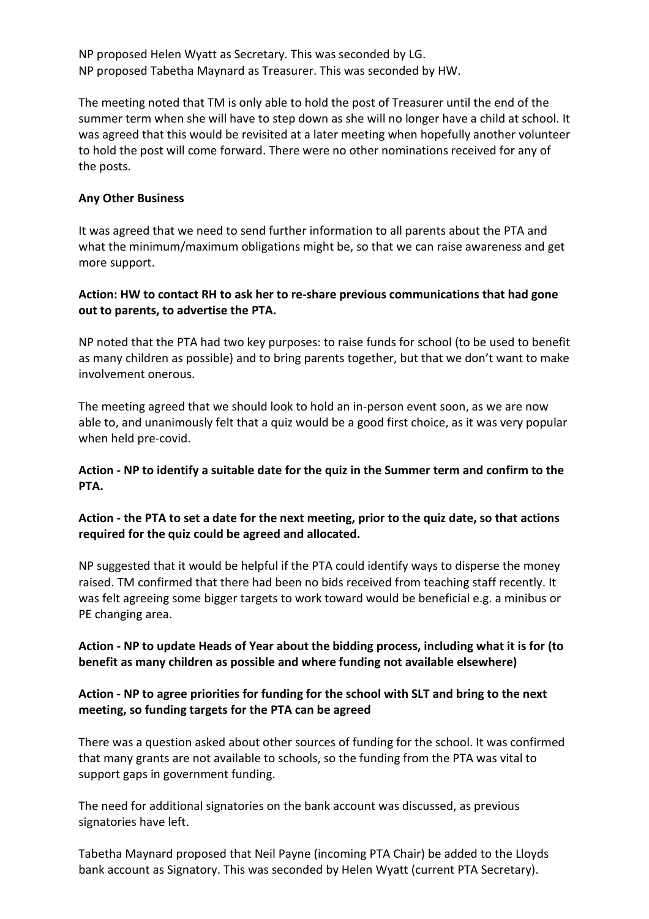NP proposed Helen Wyatt as Secretary. This was seconded by LG. NP proposed Tabetha Maynard as Treasurer. This was seconded by HW.

The meeting noted that TM is only able to hold the post of Treasurer until the end of the summer term when she will have to step down as she will no longer have a child at school. It was agreed that this would be revisited at a later meeting when hopefully another volunteer to hold the post will come forward. There were no other nominations received for any of the posts.

#### **Any Other Business**

It was agreed that we need to send further information to all parents about the PTA and what the minimum/maximum obligations might be, so that we can raise awareness and get more support.

### **Action: HW to contact RH to ask her to re-share previous communications that had gone out to parents, to advertise the PTA.**

NP noted that the PTA had two key purposes: to raise funds for school (to be used to benefit as many children as possible) and to bring parents together, but that we don't want to make involvement onerous.

The meeting agreed that we should look to hold an in-person event soon, as we are now able to, and unanimously felt that a quiz would be a good first choice, as it was very popular when held pre-covid.

## **Action - NP to identify a suitable date for the quiz in the Summer term and confirm to the PTA.**

## **Action - the PTA to set a date for the next meeting, prior to the quiz date, so that actions required for the quiz could be agreed and allocated.**

NP suggested that it would be helpful if the PTA could identify ways to disperse the money raised. TM confirmed that there had been no bids received from teaching staff recently. It was felt agreeing some bigger targets to work toward would be beneficial e.g. a minibus or PE changing area.

## **Action - NP to update Heads of Year about the bidding process, including what it is for (to benefit as many children as possible and where funding not available elsewhere)**

# **Action - NP to agree priorities for funding for the school with SLT and bring to the next meeting, so funding targets for the PTA can be agreed**

There was a question asked about other sources of funding for the school. It was confirmed that many grants are not available to schools, so the funding from the PTA was vital to support gaps in government funding.

The need for additional signatories on the bank account was discussed, as previous signatories have left.

Tabetha Maynard proposed that Neil Payne (incoming PTA Chair) be added to the Lloyds bank account as Signatory. This was seconded by Helen Wyatt (current PTA Secretary).